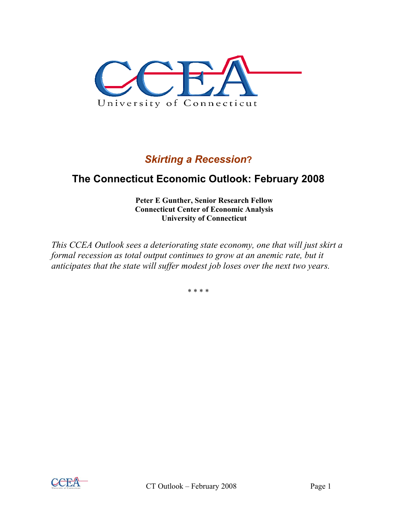

# *Skirting a Recession***?**

# **The Connecticut Economic Outlook: February 2008**

**Peter E Gunther, Senior Research Fellow Connecticut Center of Economic Analysis University of Connecticut** 

*This CCEA Outlook sees a deteriorating state economy, one that will just skirt a formal recession as total output continues to grow at an anemic rate, but it anticipates that the state will suffer modest job loses over the next two years.* 

\* \* \* \*

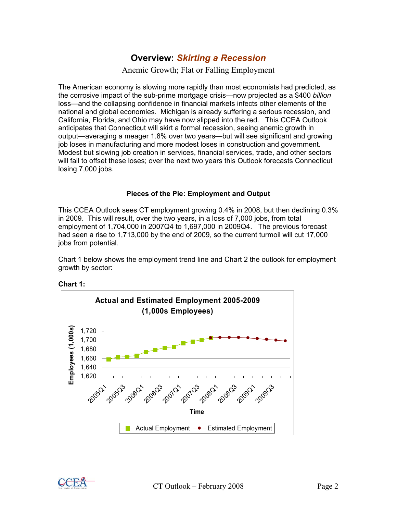# **Overview:** *Skirting a Recession*

Anemic Growth; Flat or Falling Employment

The American economy is slowing more rapidly than most economists had predicted, as the corrosive impact of the sub-prime mortgage crisis—now projected as a \$400 *billion* loss—and the collapsing confidence in financial markets infects other elements of the national and global economies. Michigan is already suffering a serious recession, and California, Florida, and Ohio may have now slipped into the red. This CCEA Outlook anticipates that Connecticut will skirt a formal recession, seeing anemic growth in output—averaging a meager 1.8% over two years—but will see significant and growing job loses in manufacturing and more modest loses in construction and government. Modest but slowing job creation in services, financial services, trade, and other sectors will fail to offset these loses; over the next two years this Outlook forecasts Connecticut losing 7,000 jobs.

#### **Pieces of the Pie: Employment and Output**

This CCEA Outlook sees CT employment growing 0.4% in 2008, but then declining 0.3% in 2009. This will result, over the two years, in a loss of 7,000 jobs, from total employment of 1,704,000 in 2007Q4 to 1,697,000 in 2009Q4. The previous forecast had seen a rise to 1,713,000 by the end of 2009, so the current turmoil will cut 17,000 jobs from potential.

Chart 1 below shows the employment trend line and Chart 2 the outlook for employment growth by sector:



**Chart 1:** 

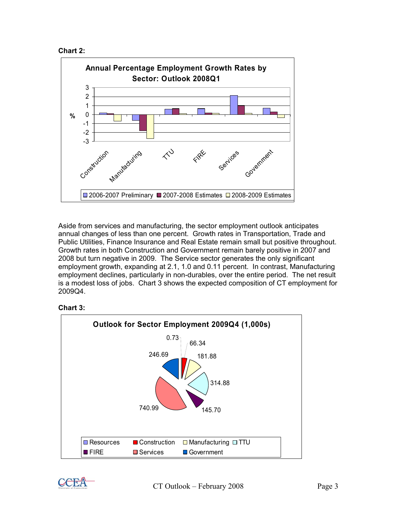



Aside from services and manufacturing, the sector employment outlook anticipates annual changes of less than one percent. Growth rates in Transportation, Trade and Public Utilities, Finance Insurance and Real Estate remain small but positive throughout. Growth rates in both Construction and Government remain barely positive in 2007 and 2008 but turn negative in 2009. The Service sector generates the only significant employment growth, expanding at 2.1, 1.0 and 0.11 percent. In contrast, Manufacturing employment declines, particularly in non-durables, over the entire period. The net result is a modest loss of jobs. Chart 3 shows the expected composition of CT employment for 2009Q4.



## **Chart 3:**

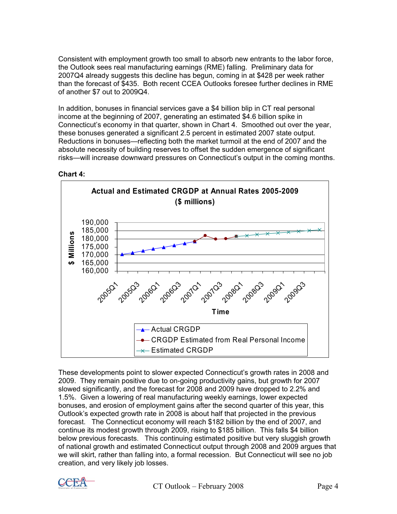Consistent with employment growth too small to absorb new entrants to the labor force, the Outlook sees real manufacturing earnings (RME) falling. Preliminary data for 2007Q4 already suggests this decline has begun, coming in at \$428 per week rather than the forecast of \$435. Both recent CCEA Outlooks foresee further declines in RME of another \$7 out to 2009Q4.

In addition, bonuses in financial services gave a \$4 billion blip in CT real personal income at the beginning of 2007, generating an estimated \$4.6 billion spike in Connecticut's economy in that quarter, shown in Chart 4. Smoothed out over the year, these bonuses generated a significant 2.5 percent in estimated 2007 state output. Reductions in bonuses—reflecting both the market turmoil at the end of 2007 and the absolute necessity of building reserves to offset the sudden emergence of significant risks—will increase downward pressures on Connecticut's output in the coming months.



**Chart 4:** 

These developments point to slower expected Connecticut's growth rates in 2008 and 2009. They remain positive due to on-going productivity gains, but growth for 2007 slowed significantly, and the forecast for 2008 and 2009 have dropped to 2.2% and 1.5%. Given a lowering of real manufacturing weekly earnings, lower expected bonuses, and erosion of employment gains after the second quarter of this year, this Outlook's expected growth rate in 2008 is about half that projected in the previous forecast. The Connecticut economy will reach \$182 billion by the end of 2007, and continue its modest growth through 2009, rising to \$185 billion. This falls \$4 billion below previous forecasts. This continuing estimated positive but very sluggish growth of national growth and estimated Connecticut output through 2008 and 2009 argues that we will skirt, rather than falling into, a formal recession. But Connecticut will see no job creation, and very likely job losses.

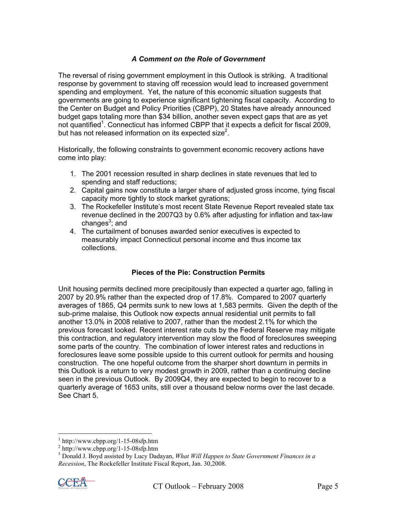### *A Comment on the Role of Government*

The reversal of rising government employment in this Outlook is striking. A traditional response by government to staving off recession would lead to increased government spending and employment. Yet, the nature of this economic situation suggests that governments are going to experience significant tightening fiscal capacity. According to the Center on Budget and Policy Priorities (CBPP), 20 States have already announced budget gaps totaling more than \$34 billion, another seven expect gaps that are as yet not quantified<sup>1</sup>. Connecticut has informed CBPP that it expects a deficit for fiscal 2009, but has not released information on its expected size<sup>2</sup>.

Historically, the following constraints to government economic recovery actions have come into play:

- 1. The 2001 recession resulted in sharp declines in state revenues that led to spending and staff reductions;
- 2. Capital gains now constitute a larger share of adjusted gross income, tying fiscal capacity more tightly to stock market gyrations;
- 3. The Rockefeller Institute's most recent State Revenue Report revealed state tax revenue declined in the 2007Q3 by 0.6% after adjusting for inflation and tax-law changes<sup>3</sup>; and
- 4. The curtailment of bonuses awarded senior executives is expected to measurably impact Connecticut personal income and thus income tax collections.

### **Pieces of the Pie: Construction Permits**

Unit housing permits declined more precipitously than expected a quarter ago, falling in 2007 by 20.9% rather than the expected drop of 17.8%. Compared to 2007 quarterly averages of 1865, Q4 permits sunk to new lows at 1,583 permits. Given the depth of the sub-prime malaise, this Outlook now expects annual residential unit permits to fall another 13.0% in 2008 relative to 2007, rather than the modest 2.1% for which the previous forecast looked. Recent interest rate cuts by the Federal Reserve may mitigate this contraction, and regulatory intervention may slow the flood of foreclosures sweeping some parts of the country. The combination of lower interest rates and reductions in foreclosures leave some possible upside to this current outlook for permits and housing construction. The one hopeful outcome from the sharper short downturn in permits in this Outlook is a return to very modest growth in 2009, rather than a continuing decline seen in the previous Outlook. By 2009Q4, they are expected to begin to recover to a quarterly average of 1653 units, still over a thousand below norms over the last decade. See Chart 5.

<sup>3</sup> Donald J. Boyd assisted by Lucy Dadayan, *What Will Happen to State Government Finances in a Recession*, The Rockefeller Institute Fiscal Report, Jan. 30,2008.



 $\overline{a}$ 

 $1$  http://www.cbpp.org/1-15-08sfp.htm

 $^{2}$  http://www.cbpp.org/1-15-08sfp.htm